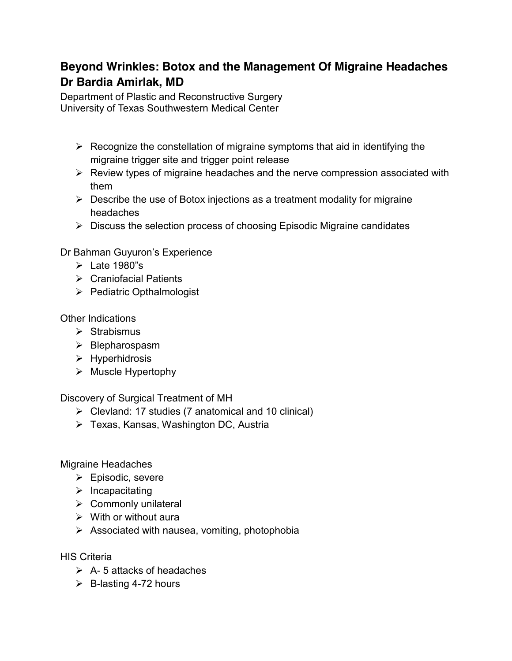## **Beyond Wrinkles: Botox and the Management Of Migraine Headaches Dr Bardia Amirlak, MD**

Department of Plastic and Reconstructive Surgery University of Texas Southwestern Medical Center

- $\triangleright$  Recognize the constellation of migraine symptoms that aid in identifying the migraine trigger site and trigger point release
- $\triangleright$  Review types of migraine headaches and the nerve compression associated with them
- $\triangleright$  Describe the use of Botox injections as a treatment modality for migraine headaches
- $\triangleright$  Discuss the selection process of choosing Episodic Migraine candidates

Dr Bahman Guyuron's Experience

- $\triangleright$  Late 1980"s
- $\triangleright$  Craniofacial Patients
- $\triangleright$  Pediatric Opthalmologist

Other Indications

- $\triangleright$  Strabismus
- $\triangleright$  Blepharospasm
- $\triangleright$  Hyperhidrosis
- $\triangleright$  Muscle Hypertophy

Discovery of Surgical Treatment of MH

- $\triangleright$  Clevland: 17 studies (7 anatomical and 10 clinical)
- Texas, Kansas, Washington DC, Austria

Migraine Headaches

- $\triangleright$  Episodic, severe
- $\triangleright$  Incapacitating
- $\triangleright$  Commonly unilateral
- $\triangleright$  With or without aura
- $\triangleright$  Associated with nausea, vomiting, photophobia

HIS Criteria

- $\triangleright$  A-5 attacks of headaches
- $\triangleright$  B-lasting 4-72 hours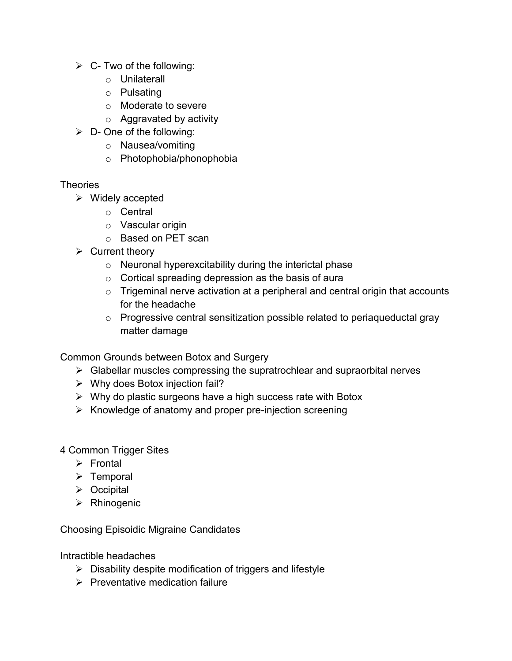- $\triangleright$  C- Two of the following:
	- o Unilaterall
	- o Pulsating
	- o Moderate to severe
	- $\circ$  Aggravated by activity
- $\triangleright$  D- One of the following:
	- o Nausea/vomiting
	- o Photophobia/phonophobia

## **Theories**

- $\triangleright$  Widely accepted
	- o Central
	- o Vascular origin
	- o Based on PET scan
- $\triangleright$  Current theory
	- $\circ$  Neuronal hyperexcitability during the interictal phase
	- $\circ$  Cortical spreading depression as the basis of aura
	- $\circ$  Trigeminal nerve activation at a peripheral and central origin that accounts for the headache
	- o Progressive central sensitization possible related to periaqueductal gray matter damage

Common Grounds between Botox and Surgery

- $\triangleright$  Glabellar muscles compressing the supratrochlear and supraorbital nerves
- $\triangleright$  Why does Botox injection fail?
- $\triangleright$  Why do plastic surgeons have a high success rate with Botox
- $\triangleright$  Knowledge of anatomy and proper pre-injection screening
- 4 Common Trigger Sites
	- $\triangleright$  Frontal
	- $\triangleright$  Temporal
	- $\triangleright$  Occipital
	- > Rhinogenic

Choosing Episoidic Migraine Candidates

Intractible headaches

- $\triangleright$  Disability despite modification of triggers and lifestyle
- $\triangleright$  Preventative medication failure